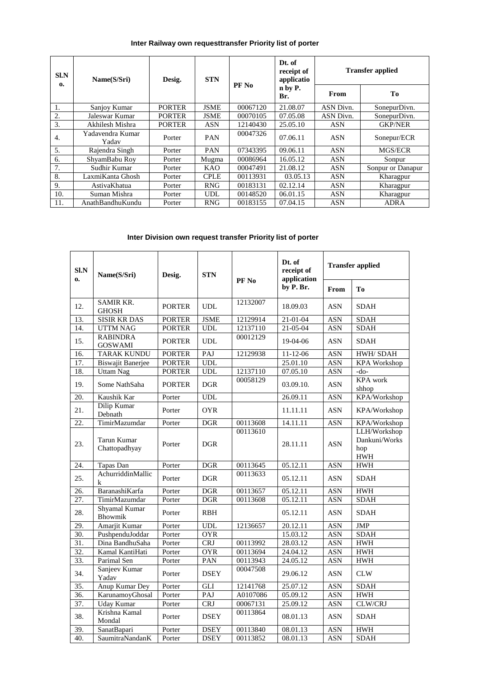## **Inter Railway own requesttransfer Priority list of porter**

| $S1$ . $N$<br>$\mathbf{0}$ | Name(S/Sri)               | Desig.        | <b>STN</b>  | PF No    | Dt. of<br>receipt of<br>applicatio<br>n by P.<br>Br. | <b>Transfer applied</b> |                   |  |
|----------------------------|---------------------------|---------------|-------------|----------|------------------------------------------------------|-------------------------|-------------------|--|
|                            |                           |               |             |          |                                                      | From                    | Tо                |  |
| 1.                         | Sanjoy Kumar              | <b>PORTER</b> | <b>JSME</b> | 00067120 | 21.08.07                                             | <b>ASN Divn.</b>        | SonepurDivn.      |  |
| 2.                         | Jaleswar Kumar            | <b>PORTER</b> | <b>JSME</b> | 00070105 | 07.05.08                                             | ASN Divn.               | SonepurDivn.      |  |
| 3.                         | Akhilesh Mishra           | <b>PORTER</b> | ASN         | 12140430 | 25.05.10                                             | ASN                     | <b>GKP/NER</b>    |  |
| 4.                         | Yadavendra Kumar<br>Yadav | Porter        | <b>PAN</b>  | 00047326 | 07.06.11                                             | <b>ASN</b>              | Sonepur/ECR       |  |
| 5.                         | Rajendra Singh            | Porter        | <b>PAN</b>  | 07343395 | 09.06.11                                             | <b>ASN</b>              | MGS/ECR           |  |
| 6.                         | ShyamBabu Roy             | Porter        | Mugma       | 00086964 | 16.05.12                                             | ASN                     | Sonpur            |  |
| 7.                         | Sudhir Kumar              | Porter        | KAO         | 00047491 | 21.08.12                                             | ASN                     | Sonpur or Danapur |  |
| 8.                         | LaxmiKanta Ghosh          | Porter        | <b>CPLE</b> | 00113931 | 03.05.13                                             | ASN                     | Kharagpur         |  |
| 9.                         | AstivaKhatua              | Porter        | <b>RNG</b>  | 00183131 | 02.12.14                                             | ASN                     | Kharagpur         |  |
| 10.                        | Suman Mishra              | Porter        | <b>UDL</b>  | 00148520 | 06.01.15                                             | ASN                     | Kharagpur         |  |
| 11.                        | AnathBandhuKundu          | Porter        | <b>RNG</b>  | 00183155 | 07.04.15                                             | ASN                     | <b>ADRA</b>       |  |

## **Inter Division own request transfer Priority list of porter**

| SI.N<br>$\mathbf{0}$ | Name(S/Sri)                       | Desig.        | <b>STN</b>                  | PF <sub>No</sub> | Dt. of<br>receipt of<br>application | <b>Transfer applied</b> |                                                    |
|----------------------|-----------------------------------|---------------|-----------------------------|------------------|-------------------------------------|-------------------------|----------------------------------------------------|
|                      |                                   |               |                             |                  | by P. Br.                           | From                    | T <sub>0</sub>                                     |
| 12.                  | <b>SAMIR KR.</b><br><b>GHOSH</b>  | <b>PORTER</b> | <b>UDL</b>                  | 12132007         | 18.09.03                            | <b>ASN</b>              | <b>SDAH</b>                                        |
| 13.                  | <b>SISIR KR DAS</b>               | <b>PORTER</b> | <b>JSME</b>                 | 12129914         | $21 - 01 - 04$                      | <b>ASN</b>              | <b>SDAH</b>                                        |
| 14.                  | <b>UTTM NAG</b>                   | <b>PORTER</b> | <b>UDL</b>                  | 12137110         | 21-05-04                            | <b>ASN</b>              | <b>SDAH</b>                                        |
| 15.                  | <b>RABINDRA</b><br><b>GOSWAMI</b> | <b>PORTER</b> | $\ensuremath{\mathrm{UDL}}$ | 00012129         | 19-04-06                            | <b>ASN</b>              | <b>SDAH</b>                                        |
| 16.                  | <b>TARAK KUNDU</b>                | <b>PORTER</b> | PAJ                         | 12129938         | $11 - 12 - 06$                      | <b>ASN</b>              | HWH/SDAH                                           |
| 17.                  | <b>Biswajit Banerjee</b>          | <b>PORTER</b> | <b>UDL</b>                  |                  | 25.01.10                            | <b>ASN</b>              | <b>KPA Workshop</b>                                |
| 18.                  | <b>Uttam Nag</b>                  | <b>PORTER</b> | <b>UDL</b>                  | 12137110         | 07.05.10                            | <b>ASN</b>              | $-do-$                                             |
| 19.                  | Some NathSaha                     | <b>PORTER</b> | $\rm DGR$                   | 00058129         | 03.09.10.                           | <b>ASN</b>              | <b>KPA</b> work<br>shhop                           |
| 20.                  | Kaushik Kar                       | Porter        | <b>UDL</b>                  |                  | 26.09.11                            | <b>ASN</b>              | KPA/Workshop                                       |
| 21.                  | Dilip Kumar<br>Debnath            | Porter        | <b>OYR</b>                  |                  | 11.11.11                            | <b>ASN</b>              | KPA/Workshop                                       |
| 22.                  | TimirMazumdar                     | Porter        | <b>DGR</b>                  | 00113608         | 14.11.11                            | <b>ASN</b>              | KPA/Workshop                                       |
| 23.                  | Tarun Kumar<br>Chattopadhyay      | Porter        | <b>DGR</b>                  | 00113610         | 28.11.11                            | <b>ASN</b>              | LLH/Workshop<br>Dankuni/Works<br>hop<br><b>HWH</b> |
| 24.                  | Tapas Dan                         | Porter        | <b>DGR</b>                  | 00113645         | 05.12.11                            | <b>ASN</b>              | <b>HWH</b>                                         |
| 25.                  | AchurriddinMallic<br>$\bf k$      | Porter        | <b>DGR</b>                  | 00113633         | 05.12.11                            | <b>ASN</b>              | <b>SDAH</b>                                        |
| 26.                  | BaranashiKarfa                    | Porter        | <b>DGR</b>                  | 00113657         | 05.12.11                            | <b>ASN</b>              | ${\rm HWH}$                                        |
| 27.                  | TimirMazumdar                     | Porter        | <b>DGR</b>                  | 00113608         | 05.12.11                            | <b>ASN</b>              | <b>SDAH</b>                                        |
| 28.                  | Shyamal Kumar<br>Bhowmik          | Porter        | <b>RBH</b>                  |                  | 05.12.11                            | ASN                     | <b>SDAH</b>                                        |
| 29.                  | Amarjit Kumar                     | Porter        | <b>UDL</b>                  | 12136657         | 20.12.11                            | <b>ASN</b>              | <b>JMP</b>                                         |
| $\overline{30}$ .    | PushpenduJoddar                   | Porter        | <b>OYR</b>                  |                  | 15.03.12                            | <b>ASN</b>              | <b>SDAH</b>                                        |
| $\overline{31}$ .    | Dina BandhuSaha                   | Porter        | <b>CRJ</b>                  | 00113992         | 28.03.12                            | <b>ASN</b>              | <b>HWH</b>                                         |
| 32.                  | Kamal KantiHati                   | Porter        | <b>OYR</b>                  | 00113694         | 24.04.12                            | <b>ASN</b>              | <b>HWH</b>                                         |
| 33.                  | Parimal Sen                       | Porter        | PAN                         | 00113943         | 24.05.12                            | <b>ASN</b>              | <b>HWH</b>                                         |
| 34.                  | Sanjeev Kumar<br>Yadav            | Porter        | <b>DSEY</b>                 | 00047508         | 29.06.12                            | <b>ASN</b>              | <b>CLW</b>                                         |
| $\overline{35}$ .    | Anup Kumar Dey                    | Porter        | <b>GLI</b>                  | 12141768         | 25.07.12                            | <b>ASN</b>              | <b>SDAH</b>                                        |
| 36.                  | KarunamoyGhosal                   | Porter        | PAJ                         | A0107086         | 05.09.12                            | <b>ASN</b>              | <b>HWH</b>                                         |
| 37.                  | <b>Uday Kumar</b>                 | Porter        | CRJ                         | 00067131         | 25.09.12                            | <b>ASN</b>              | <b>CLW/CRJ</b>                                     |
| 38.                  | Krishna Kamal<br>Mondal           | Porter        | <b>DSEY</b>                 | 00113864         | 08.01.13                            | <b>ASN</b>              | <b>SDAH</b>                                        |
| 39.                  | SanatBapari                       | Porter        | <b>DSEY</b>                 | 00113840         | 08.01.13                            | <b>ASN</b>              | <b>HWH</b>                                         |
| 40.                  | SaumitraNandanK                   | Porter        | <b>DSEY</b>                 | 00113852         | 08.01.13                            | <b>ASN</b>              | <b>SDAH</b>                                        |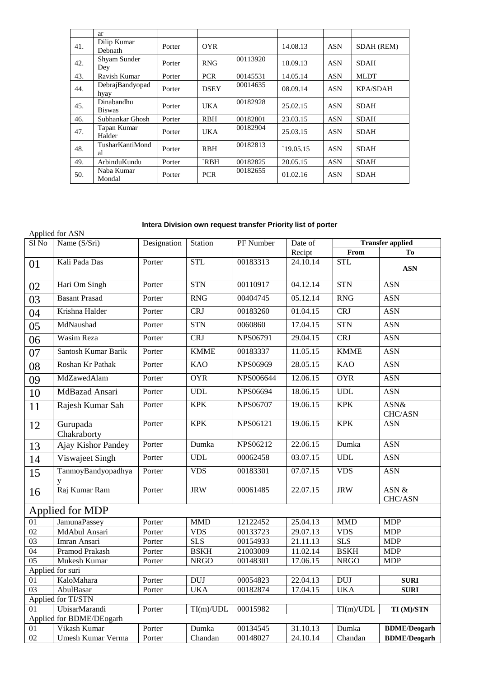|     | ar                          |        |             |          |           |            |                 |
|-----|-----------------------------|--------|-------------|----------|-----------|------------|-----------------|
| 41. | Dilip Kumar<br>Debnath      | Porter | <b>OYR</b>  |          | 14.08.13  | <b>ASN</b> | SDAH (REM)      |
| 42. | Shyam Sunder<br>Dey         | Porter | <b>RNG</b>  | 00113920 | 18.09.13  | <b>ASN</b> | <b>SDAH</b>     |
| 43. | Ravish Kumar                | Porter | <b>PCR</b>  | 00145531 | 14.05.14  | <b>ASN</b> | <b>MLDT</b>     |
| 44. | DebrajBandyopad<br>hyay     | Porter | <b>DSEY</b> | 00014635 | 08.09.14  | <b>ASN</b> | <b>KPA/SDAH</b> |
| 45. | Dinabandhu<br><b>Biswas</b> | Porter | <b>UKA</b>  | 00182928 | 25.02.15  | <b>ASN</b> | <b>SDAH</b>     |
| 46. | Subhankar Ghosh             | Porter | <b>RBH</b>  | 00182801 | 23.03.15  | <b>ASN</b> | <b>SDAH</b>     |
| 47. | Tapan Kumar<br>Halder       | Porter | <b>UKA</b>  | 00182904 | 25.03.15  | <b>ASN</b> | <b>SDAH</b>     |
| 48. | TusharKantiMond<br>al       | Porter | <b>RBH</b>  | 00182813 | `19.05.15 | <b>ASN</b> | <b>SDAH</b>     |
| 49. | ArbinduKundu                | Porter | `RBH        | 00182825 | 20.05.15  | <b>ASN</b> | <b>SDAH</b>     |
| 50. | Naba Kumar<br>Mondal        | Porter | <b>PCR</b>  | 00182655 | 01.02.16  | <b>ASN</b> | <b>SDAH</b>     |

## **Intera Division own request transfer Priority list of porter**

| Applied for ASN          |                         |             |             |                 |                       |             |                         |  |
|--------------------------|-------------------------|-------------|-------------|-----------------|-----------------------|-------------|-------------------------|--|
| Sl No                    | Name (S/Sri)            | Designation | Station     | PF Number       | Date of               |             | <b>Transfer applied</b> |  |
|                          |                         |             |             |                 | Recipt                | From        | To                      |  |
| 01                       | Kali Pada Das           | Porter      | <b>STL</b>  | 00183313        | $\overline{24.10.14}$ | <b>STL</b>  | <b>ASN</b>              |  |
| 02                       | Hari Om Singh           | Porter      | <b>STN</b>  | 00110917        | 04.12.14              | <b>STN</b>  | <b>ASN</b>              |  |
| 03                       | <b>Basant Prasad</b>    | Porter      | <b>RNG</b>  | 00404745        | 05.12.14              | <b>RNG</b>  | <b>ASN</b>              |  |
| 04                       | Krishna Halder          | Porter      | CRJ         | 00183260        | 01.04.15              | <b>CRJ</b>  | <b>ASN</b>              |  |
| 05                       | MdNaushad               | Porter      | <b>STN</b>  | 0060860         | 17.04.15              | <b>STN</b>  | <b>ASN</b>              |  |
| 06                       | Wasim Reza              | Porter      | <b>CRJ</b>  | NPS06791        | 29.04.15              | <b>CRJ</b>  | <b>ASN</b>              |  |
| 07                       | Santosh Kumar Barik     | Porter      | <b>KMME</b> | 00183337        | 11.05.15              | <b>KMME</b> | <b>ASN</b>              |  |
| 08                       | Roshan Kr Pathak        | Porter      | <b>KAO</b>  | NPS06969        | 28.05.15              | <b>KAO</b>  | <b>ASN</b>              |  |
| 09                       | MdZawedAlam             | Porter      | <b>OYR</b>  | NPS006644       | 12.06.15              | <b>OYR</b>  | <b>ASN</b>              |  |
| 10                       | MdBazad Ansari          | Porter      | <b>UDL</b>  | <b>NPS06694</b> | 18.06.15              | <b>UDL</b>  | <b>ASN</b>              |  |
| 11                       | Rajesh Kumar Sah        | Porter      | <b>KPK</b>  | NPS06707        | 19.06.15              | <b>KPK</b>  | ASN&<br>CHC/ASN         |  |
| 12                       | Gurupada<br>Chakraborty | Porter      | <b>KPK</b>  | NPS06121        | 19.06.15              | <b>KPK</b>  | <b>ASN</b>              |  |
| 13                       | Ajay Kishor Pandey      | Porter      | Dumka       | NPS06212        | 22.06.15              | Dumka       | <b>ASN</b>              |  |
| 14                       | Viswajeet Singh         | Porter      | <b>UDL</b>  | 00062458        | 03.07.15              | <b>UDL</b>  | <b>ASN</b>              |  |
| 15                       | TanmoyBandyopadhya      | Porter      | <b>VDS</b>  | 00183301        | 07.07.15              | <b>VDS</b>  | <b>ASN</b>              |  |
| 16                       | Raj Kumar Ram           | Porter      | <b>JRW</b>  | 00061485        | 22.07.15              | <b>JRW</b>  | $ASN$ &<br>CHC/ASN      |  |
|                          | Applied for MDP         |             |             |                 |                       |             |                         |  |
| $\overline{01}$          | <b>JamunaPassey</b>     | Porter      | <b>MMD</b>  | 12122452        | 25.04.13              | <b>MMD</b>  | <b>MDP</b>              |  |
| $\overline{02}$          | MdAbul Ansari           | Porter      | <b>VDS</b>  | 00133723        | 29.07.13              | <b>VDS</b>  | <b>MDP</b>              |  |
| $\overline{03}$          | Imran Ansari            | Porter      | SLS         | 00154933        | 21.11.13              | <b>SLS</b>  | <b>MDP</b>              |  |
| $\overline{04}$          | Pramod Prakash          | Porter      | <b>BSKH</b> | 21003009        | 11.02.14              | <b>BSKH</b> | <b>MDP</b>              |  |
| $\overline{05}$          | Mukesh Kumar            | Porter      | <b>NRGO</b> | 00148301        | 17.06.15              | <b>NRGO</b> | <b>MDP</b>              |  |
| Applied for suri         |                         |             |             |                 |                       |             |                         |  |
| 01                       | KaloMahara              | Porter      | <b>DUJ</b>  | 00054823        | 22.04.13              | <b>DUJ</b>  | <b>SURI</b>             |  |
| $\overline{03}$          | AbulBasar               | Porter      | <b>UKA</b>  | 00182874        | 17.04.15              | <b>UKA</b>  | <b>SURI</b>             |  |
|                          | Applied for TI/STN      |             |             |                 |                       |             |                         |  |
| 01                       | UbisarMarandi           | Porter      | TI(m)/UDL   | 00015982        |                       | TI(m)/UDL   | TI (M)/STN              |  |
| Applied for BDME/DEogarh |                         |             |             |                 |                       |             |                         |  |
| 01<br>02                 | Vikash Kumar            | Porter      | Dumka       | 00134545        | 31.10.13              | Dumka       | <b>BDME/Deogarh</b>     |  |
|                          | Umesh Kumar Verma       | Porter      | Chandan     | 00148027        | 24.10.14              | Chandan     | <b>BDME/Deogarh</b>     |  |